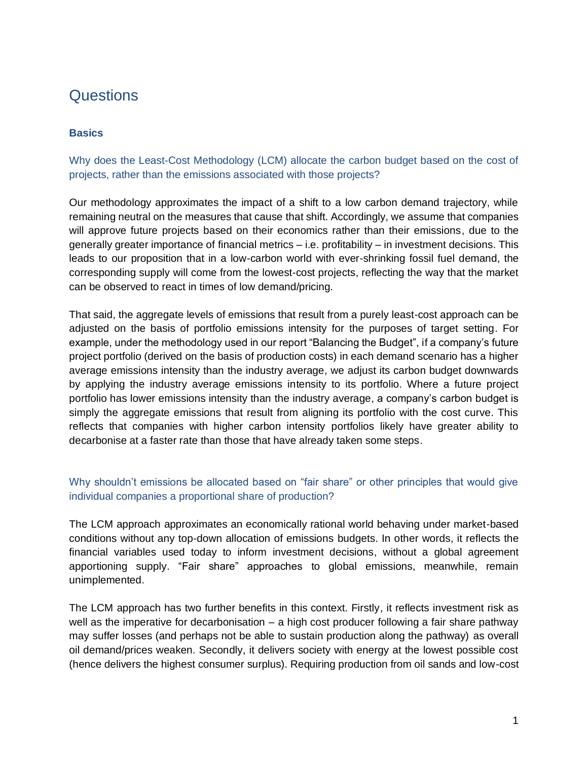# **Questions**

# **Basics**

Why does the Least-Cost Methodology (LCM) allocate the carbon budget based on the cost of projects, rather than the emissions associated with those projects?

Our methodology approximates the impact of a shift to a low carbon demand trajectory, while remaining neutral on the measures that cause that shift. Accordingly, we assume that companies will approve future projects based on their economics rather than their emissions, due to the generally greater importance of financial metrics – i.e. profitability – in investment decisions. This leads to our proposition that in a low-carbon world with ever-shrinking fossil fuel demand, the corresponding supply will come from the lowest-cost projects, reflecting the way that the market can be observed to react in times of low demand/pricing.

That said, the aggregate levels of emissions that result from a purely least-cost approach can be adjusted on the basis of portfolio emissions intensity for the purposes of target setting. For example, under the methodology used in our report "Balancing the Budget", if a company's future project portfolio (derived on the basis of production costs) in each demand scenario has a higher average emissions intensity than the industry average, we adjust its carbon budget downwards by applying the industry average emissions intensity to its portfolio. Where a future project portfolio has lower emissions intensity than the industry average, a company's carbon budget is simply the aggregate emissions that result from aligning its portfolio with the cost curve. This reflects that companies with higher carbon intensity portfolios likely have greater ability to decarbonise at a faster rate than those that have already taken some steps.

# Why shouldn't emissions be allocated based on "fair share" or other principles that would give individual companies a proportional share of production?

The LCM approach approximates an economically rational world behaving under market-based conditions without any top-down allocation of emissions budgets. In other words, it reflects the financial variables used today to inform investment decisions, without a global agreement apportioning supply. "Fair share" approaches to global emissions, meanwhile, remain unimplemented.

The LCM approach has two further benefits in this context. Firstly, it reflects investment risk as well as the imperative for decarbonisation – a high cost producer following a fair share pathway may suffer losses (and perhaps not be able to sustain production along the pathway) as overall oil demand/prices weaken. Secondly, it delivers society with energy at the lowest possible cost (hence delivers the highest consumer surplus). Requiring production from oil sands and low-cost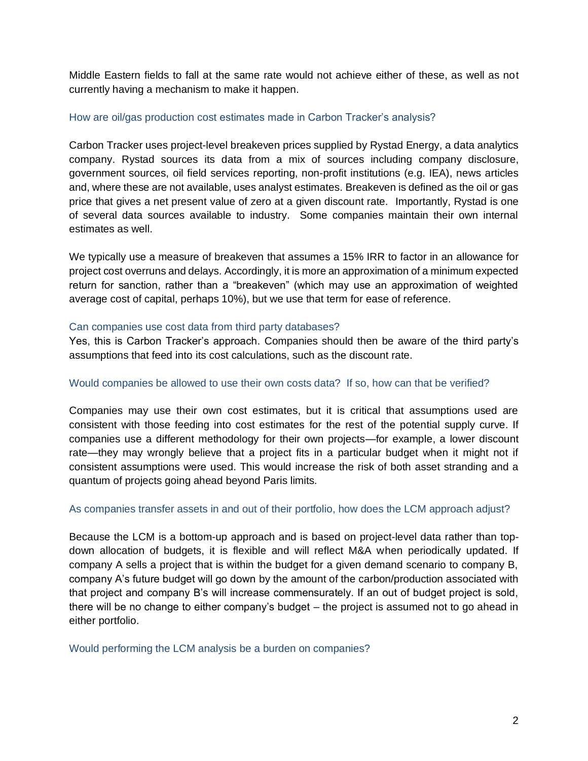Middle Eastern fields to fall at the same rate would not achieve either of these, as well as not currently having a mechanism to make it happen.

## How are oil/gas production cost estimates made in Carbon Tracker's analysis?

Carbon Tracker uses project-level breakeven prices supplied by Rystad Energy, a data analytics company. Rystad sources its data from a mix of sources including company disclosure, government sources, oil field services reporting, non-profit institutions (e.g. IEA), news articles and, where these are not available, uses analyst estimates. Breakeven is defined as the oil or gas price that gives a net present value of zero at a given discount rate. Importantly, Rystad is one of several data sources available to industry. Some companies maintain their own internal estimates as well.

We typically use a measure of breakeven that assumes a 15% IRR to factor in an allowance for project cost overruns and delays. Accordingly, it is more an approximation of a minimum expected return for sanction, rather than a "breakeven" (which may use an approximation of weighted average cost of capital, perhaps 10%), but we use that term for ease of reference.

## Can companies use cost data from third party databases?

Yes, this is Carbon Tracker's approach. Companies should then be aware of the third party's assumptions that feed into its cost calculations, such as the discount rate.

## Would companies be allowed to use their own costs data? If so, how can that be verified?

Companies may use their own cost estimates, but it is critical that assumptions used are consistent with those feeding into cost estimates for the rest of the potential supply curve. If companies use a different methodology for their own projects—for example, a lower discount rate—they may wrongly believe that a project fits in a particular budget when it might not if consistent assumptions were used. This would increase the risk of both asset stranding and a quantum of projects going ahead beyond Paris limits.

#### As companies transfer assets in and out of their portfolio, how does the LCM approach adjust?

Because the LCM is a bottom-up approach and is based on project-level data rather than topdown allocation of budgets, it is flexible and will reflect M&A when periodically updated. If company A sells a project that is within the budget for a given demand scenario to company B, company A's future budget will go down by the amount of the carbon/production associated with that project and company B's will increase commensurately. If an out of budget project is sold, there will be no change to either company's budget – the project is assumed not to go ahead in either portfolio.

Would performing the LCM analysis be a burden on companies?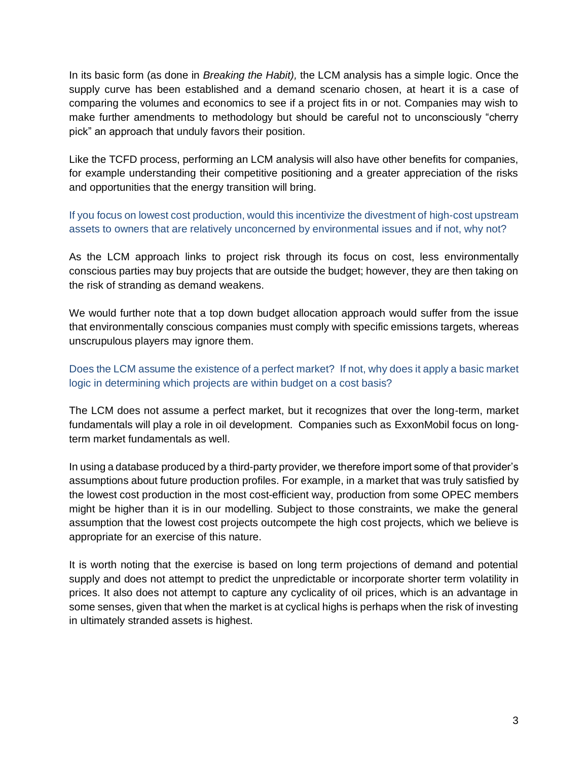In its basic form (as done in *Breaking the Habit),* the LCM analysis has a simple logic. Once the supply curve has been established and a demand scenario chosen, at heart it is a case of comparing the volumes and economics to see if a project fits in or not. Companies may wish to make further amendments to methodology but should be careful not to unconsciously "cherry pick" an approach that unduly favors their position.

Like the TCFD process, performing an LCM analysis will also have other benefits for companies, for example understanding their competitive positioning and a greater appreciation of the risks and opportunities that the energy transition will bring.

If you focus on lowest cost production, would this incentivize the divestment of high-cost upstream assets to owners that are relatively unconcerned by environmental issues and if not, why not?

As the LCM approach links to project risk through its focus on cost, less environmentally conscious parties may buy projects that are outside the budget; however, they are then taking on the risk of stranding as demand weakens.

We would further note that a top down budget allocation approach would suffer from the issue that environmentally conscious companies must comply with specific emissions targets, whereas unscrupulous players may ignore them.

Does the LCM assume the existence of a perfect market? If not, why does it apply a basic market logic in determining which projects are within budget on a cost basis?

The LCM does not assume a perfect market, but it recognizes that over the long-term, market fundamentals will play a role in oil development. Companies such as ExxonMobil focus on longterm market fundamentals as well.

In using a database produced by a third-party provider, we therefore import some of that provider's assumptions about future production profiles. For example, in a market that was truly satisfied by the lowest cost production in the most cost-efficient way, production from some OPEC members might be higher than it is in our modelling. Subject to those constraints, we make the general assumption that the lowest cost projects outcompete the high cost projects, which we believe is appropriate for an exercise of this nature.

It is worth noting that the exercise is based on long term projections of demand and potential supply and does not attempt to predict the unpredictable or incorporate shorter term volatility in prices. It also does not attempt to capture any cyclicality of oil prices, which is an advantage in some senses, given that when the market is at cyclical highs is perhaps when the risk of investing in ultimately stranded assets is highest.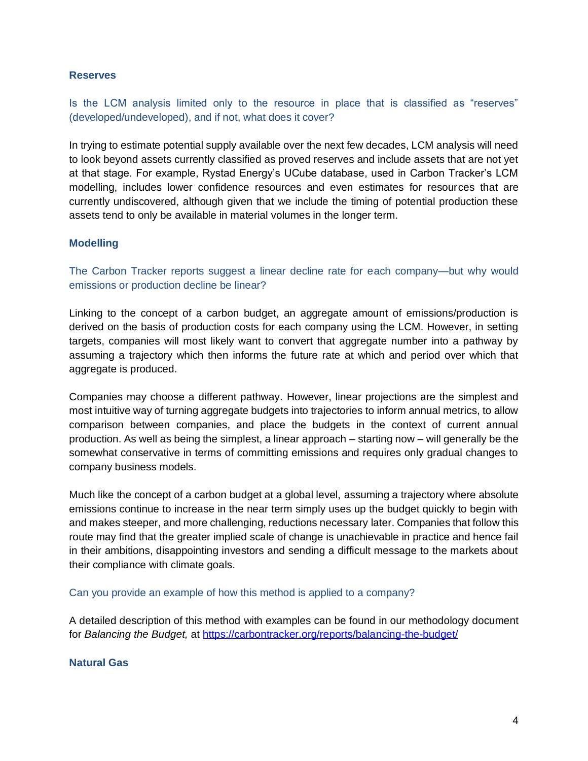## **Reserves**

Is the LCM analysis limited only to the resource in place that is classified as "reserves" (developed/undeveloped), and if not, what does it cover?

In trying to estimate potential supply available over the next few decades, LCM analysis will need to look beyond assets currently classified as proved reserves and include assets that are not yet at that stage. For example, Rystad Energy's UCube database, used in Carbon Tracker's LCM modelling, includes lower confidence resources and even estimates for resources that are currently undiscovered, although given that we include the timing of potential production these assets tend to only be available in material volumes in the longer term.

## **Modelling**

The Carbon Tracker reports suggest a linear decline rate for each company—but why would emissions or production decline be linear?

Linking to the concept of a carbon budget, an aggregate amount of emissions/production is derived on the basis of production costs for each company using the LCM. However, in setting targets, companies will most likely want to convert that aggregate number into a pathway by assuming a trajectory which then informs the future rate at which and period over which that aggregate is produced.

Companies may choose a different pathway. However, linear projections are the simplest and most intuitive way of turning aggregate budgets into trajectories to inform annual metrics, to allow comparison between companies, and place the budgets in the context of current annual production. As well as being the simplest, a linear approach – starting now – will generally be the somewhat conservative in terms of committing emissions and requires only gradual changes to company business models.

Much like the concept of a carbon budget at a global level, assuming a trajectory where absolute emissions continue to increase in the near term simply uses up the budget quickly to begin with and makes steeper, and more challenging, reductions necessary later. Companies that follow this route may find that the greater implied scale of change is unachievable in practice and hence fail in their ambitions, disappointing investors and sending a difficult message to the markets about their compliance with climate goals.

Can you provide an example of how this method is applied to a company?

A detailed description of this method with examples can be found in our methodology document for *Balancing the Budget,* at <https://carbontracker.org/reports/balancing-the-budget/>

#### **Natural Gas**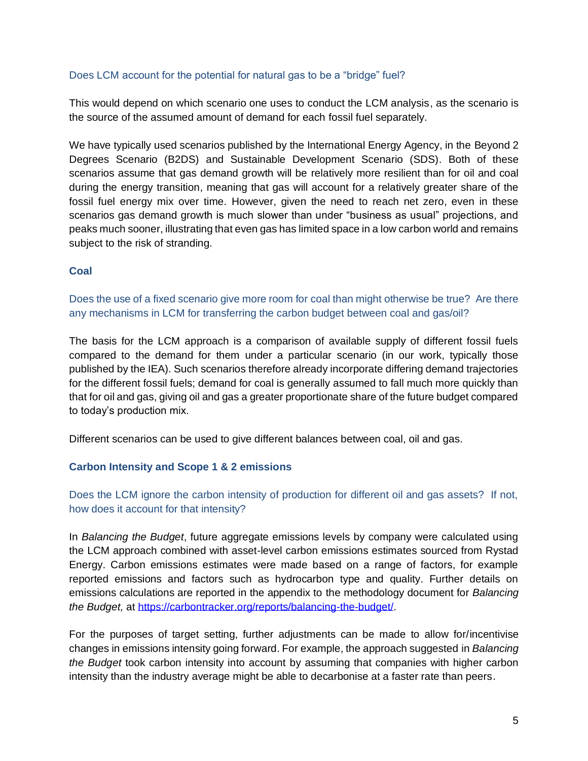## Does LCM account for the potential for natural gas to be a "bridge" fuel?

This would depend on which scenario one uses to conduct the LCM analysis, as the scenario is the source of the assumed amount of demand for each fossil fuel separately.

We have typically used scenarios published by the International Energy Agency, in the Beyond 2 Degrees Scenario (B2DS) and Sustainable Development Scenario (SDS). Both of these scenarios assume that gas demand growth will be relatively more resilient than for oil and coal during the energy transition, meaning that gas will account for a relatively greater share of the fossil fuel energy mix over time. However, given the need to reach net zero, even in these scenarios gas demand growth is much slower than under "business as usual" projections, and peaks much sooner, illustrating that even gas has limited space in a low carbon world and remains subject to the risk of stranding.

## **Coal**

# Does the use of a fixed scenario give more room for coal than might otherwise be true? Are there any mechanisms in LCM for transferring the carbon budget between coal and gas/oil?

The basis for the LCM approach is a comparison of available supply of different fossil fuels compared to the demand for them under a particular scenario (in our work, typically those published by the IEA). Such scenarios therefore already incorporate differing demand trajectories for the different fossil fuels; demand for coal is generally assumed to fall much more quickly than that for oil and gas, giving oil and gas a greater proportionate share of the future budget compared to today's production mix.

Different scenarios can be used to give different balances between coal, oil and gas.

## **Carbon Intensity and Scope 1 & 2 emissions**

# Does the LCM ignore the carbon intensity of production for different oil and gas assets? If not, how does it account for that intensity?

In *Balancing the Budget*, future aggregate emissions levels by company were calculated using the LCM approach combined with asset-level carbon emissions estimates sourced from Rystad Energy. Carbon emissions estimates were made based on a range of factors, for example reported emissions and factors such as hydrocarbon type and quality. Further details on emissions calculations are reported in the appendix to the methodology document for *Balancing the Budget,* at [https://carbontracker.org/reports/balancing-the-budget/.](https://carbontracker.org/reports/balancing-the-budget/)

For the purposes of target setting, further adjustments can be made to allow for/incentivise changes in emissions intensity going forward. For example, the approach suggested in *Balancing the Budget* took carbon intensity into account by assuming that companies with higher carbon intensity than the industry average might be able to decarbonise at a faster rate than peers.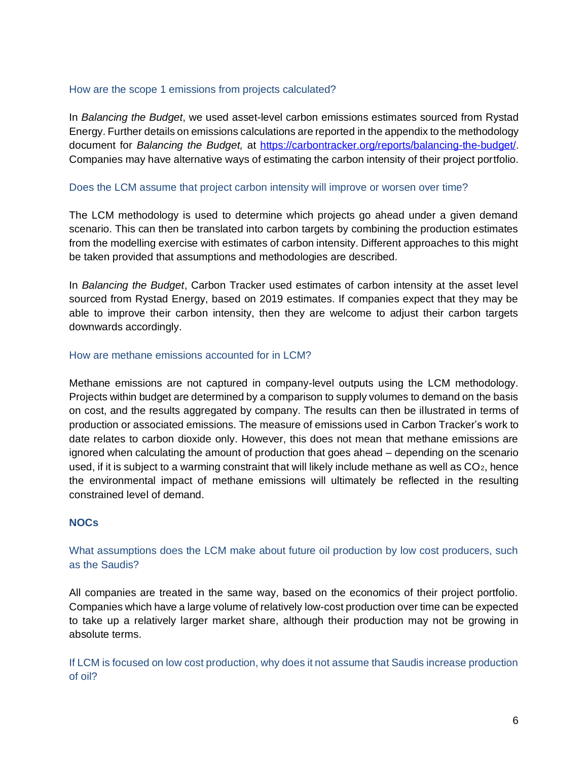## How are the scope 1 emissions from projects calculated?

In *Balancing the Budget*, we used asset-level carbon emissions estimates sourced from Rystad Energy. Further details on emissions calculations are reported in the appendix to the methodology document for *Balancing the Budget,* at [https://carbontracker.org/reports/balancing-the-budget/.](https://carbontracker.org/reports/balancing-the-budget/) Companies may have alternative ways of estimating the carbon intensity of their project portfolio.

## Does the LCM assume that project carbon intensity will improve or worsen over time?

The LCM methodology is used to determine which projects go ahead under a given demand scenario. This can then be translated into carbon targets by combining the production estimates from the modelling exercise with estimates of carbon intensity. Different approaches to this might be taken provided that assumptions and methodologies are described.

In *Balancing the Budget*, Carbon Tracker used estimates of carbon intensity at the asset level sourced from Rystad Energy, based on 2019 estimates. If companies expect that they may be able to improve their carbon intensity, then they are welcome to adjust their carbon targets downwards accordingly.

## How are methane emissions accounted for in LCM?

Methane emissions are not captured in company-level outputs using the LCM methodology. Projects within budget are determined by a comparison to supply volumes to demand on the basis on cost, and the results aggregated by company. The results can then be illustrated in terms of production or associated emissions. The measure of emissions used in Carbon Tracker's work to date relates to carbon dioxide only. However, this does not mean that methane emissions are ignored when calculating the amount of production that goes ahead – depending on the scenario used, if it is subject to a warming constraint that will likely include methane as well as CO2, hence the environmental impact of methane emissions will ultimately be reflected in the resulting constrained level of demand.

## **NOCs**

# What assumptions does the LCM make about future oil production by low cost producers, such as the Saudis?

All companies are treated in the same way, based on the economics of their project portfolio. Companies which have a large volume of relatively low-cost production over time can be expected to take up a relatively larger market share, although their production may not be growing in absolute terms.

If LCM is focused on low cost production, why does it not assume that Saudis increase production of oil?